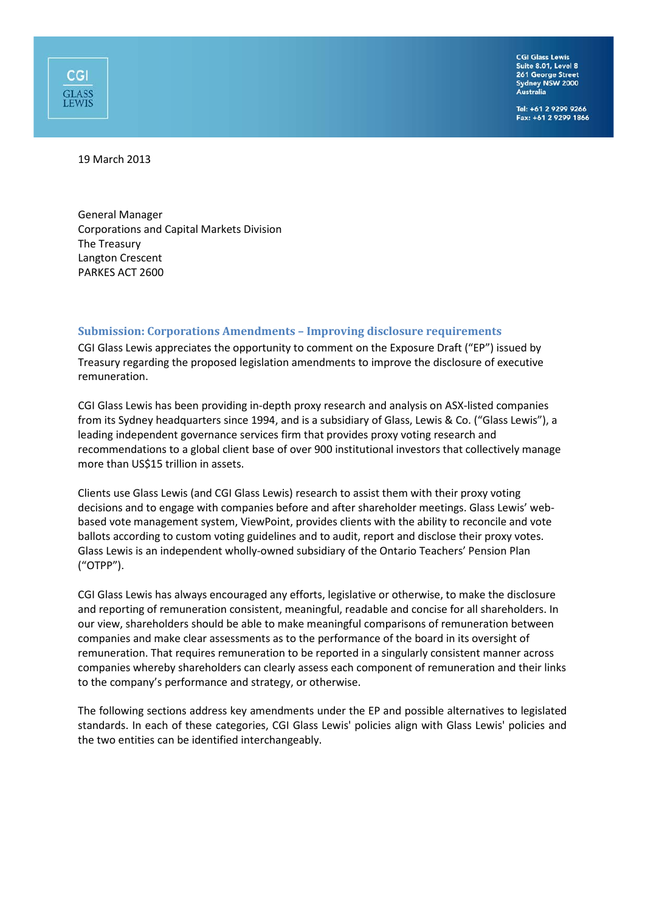**CGI Glass Lewis** Suite 8.01, Level 8 261 George Street<br>Sydney NSW 2000 Australia

Tel: +61 2 9299 9266 Fax: +61 2 9299 1866

19 March 2013

CGI

**GLASS**<br>LEWIS

General Manager Corporations and Capital Markets Division The Treasury Langton Crescent PARKES ACT 2600

#### **Submission: Corporations Amendments – Improving disclosure requirements**

CGI Glass Lewis appreciates the opportunity to comment on the Exposure Draft ("EP") issued by Treasury regarding the proposed legislation amendments to improve the disclosure of executive remuneration.

CGI Glass Lewis has been providing in-depth proxy research and analysis on ASX-listed companies from its Sydney headquarters since 1994, and is a subsidiary of Glass, Lewis & Co. ("Glass Lewis"), a leading independent governance services firm that provides proxy voting research and recommendations to a global client base of over 900 institutional investors that collectively manage more than US\$15 trillion in assets.

Clients use Glass Lewis (and CGI Glass Lewis) research to assist them with their proxy voting decisions and to engage with companies before and after shareholder meetings. Glass Lewis' webbased vote management system, ViewPoint, provides clients with the ability to reconcile and vote ballots according to custom voting guidelines and to audit, report and disclose their proxy votes. Glass Lewis is an independent wholly-owned subsidiary of the Ontario Teachers' Pension Plan ("OTPP").

CGI Glass Lewis has always encouraged any efforts, legislative or otherwise, to make the disclosure and reporting of remuneration consistent, meaningful, readable and concise for all shareholders. In our view, shareholders should be able to make meaningful comparisons of remuneration between companies and make clear assessments as to the performance of the board in its oversight of remuneration. That requires remuneration to be reported in a singularly consistent manner across companies whereby shareholders can clearly assess each component of remuneration and their links to the company's performance and strategy, or otherwise.

The following sections address key amendments under the EP and possible alternatives to legislated standards. In each of these categories, CGI Glass Lewis' policies align with Glass Lewis' policies and the two entities can be identified interchangeably.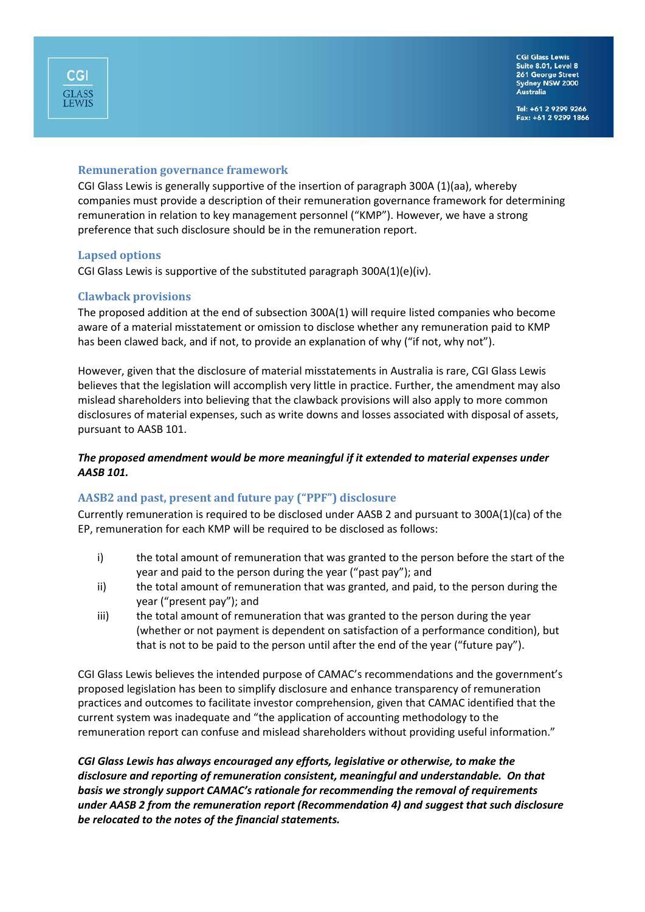# **Remuneration governance framework**

CGI Glass Lewis is generally supportive of the insertion of paragraph 300A (1)(aa), whereby companies must provide a description of their remuneration governance framework for determining remuneration in relation to key management personnel ("KMP"). However, we have a strong preference that such disclosure should be in the remuneration report.

#### **Lapsed options**

CGI Glass Lewis is supportive of the substituted paragraph 300A(1)(e)(iv).

# **Clawback provisions**

The proposed addition at the end of subsection 300A(1) will require listed companies who become aware of a material misstatement or omission to disclose whether any remuneration paid to KMP has been clawed back, and if not, to provide an explanation of why ("if not, why not").

However, given that the disclosure of material misstatements in Australia is rare, CGI Glass Lewis believes that the legislation will accomplish very little in practice. Further, the amendment may also mislead shareholders into believing that the clawback provisions will also apply to more common disclosures of material expenses, such as write downs and losses associated with disposal of assets, pursuant to AASB 101.

# *The proposed amendment would be more meaningful if it extended to material expenses under AASB 101.*

#### **AASB2 and past, present and future pay ("PPF") disclosure**

Currently remuneration is required to be disclosed under AASB 2 and pursuant to 300A(1)(ca) of the EP, remuneration for each KMP will be required to be disclosed as follows:

- i) the total amount of remuneration that was granted to the person before the start of the year and paid to the person during the year ("past pay"); and
- ii) the total amount of remuneration that was granted, and paid, to the person during the year ("present pay"); and
- iii) the total amount of remuneration that was granted to the person during the year (whether or not payment is dependent on satisfaction of a performance condition), but that is not to be paid to the person until after the end of the year ("future pay").

CGI Glass Lewis believes the intended purpose of CAMAC's recommendations and the government's proposed legislation has been to simplify disclosure and enhance transparency of remuneration practices and outcomes to facilitate investor comprehension, given that CAMAC identified that the current system was inadequate and "the application of accounting methodology to the remuneration report can confuse and mislead shareholders without providing useful information."

*CGI Glass Lewis has always encouraged any efforts, legislative or otherwise, to make the disclosure and reporting of remuneration consistent, meaningful and understandable. On that basis we strongly support CAMAC's rationale for recommending the removal of requirements under AASB 2 from the remuneration report (Recommendation 4) and suggest that such disclosure be relocated to the notes of the financial statements.*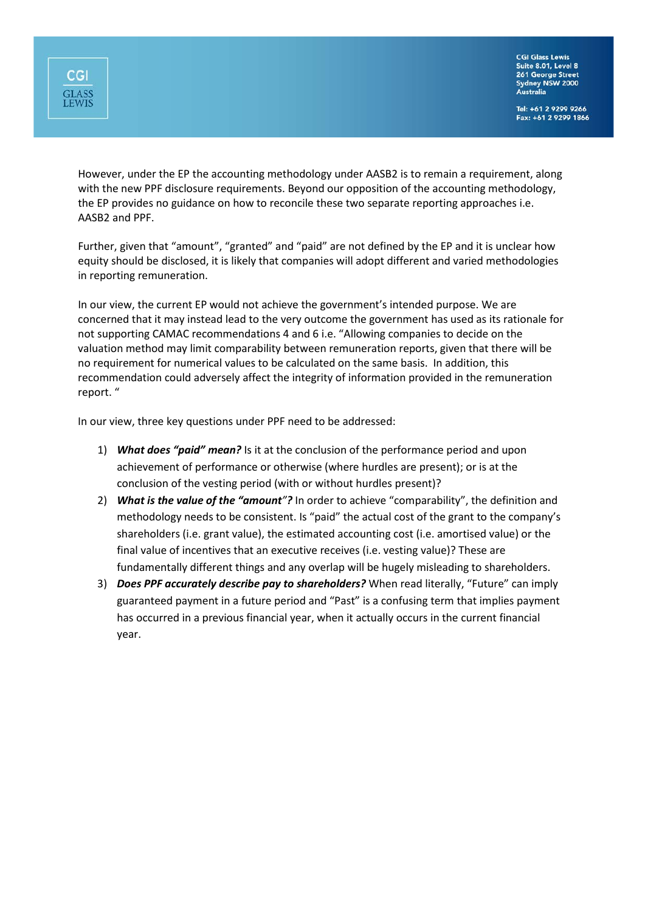

**CGI Glass Lewis** Suite 8.01, Level 8 261 George Street<br>Sydney NSW 2000<br>Australia

Tel: +61 2 9299 9266<br>Fax: +61 2 9299 1866

However, under the EP the accounting methodology under AASB2 is to remain a requirement, along with the new PPF disclosure requirements. Beyond our opposition of the accounting methodology, the EP provides no guidance on how to reconcile these two separate reporting approaches i.e. AASB2 and PPF.

Further, given that "amount", "granted" and "paid" are not defined by the EP and it is unclear how equity should be disclosed, it is likely that companies will adopt different and varied methodologies in reporting remuneration.

In our view, the current EP would not achieve the government's intended purpose. We are concerned that it may instead lead to the very outcome the government has used as its rationale for not supporting CAMAC recommendations 4 and 6 i.e. "Allowing companies to decide on the valuation method may limit comparability between remuneration reports, given that there will be no requirement for numerical values to be calculated on the same basis. In addition, this recommendation could adversely affect the integrity of information provided in the remuneration report. "

In our view, three key questions under PPF need to be addressed:

- 1) *What does "paid" mean?* Is it at the conclusion of the performance period and upon achievement of performance or otherwise (where hurdles are present); or is at the conclusion of the vesting period (with or without hurdles present)?
- 2) *What is the value of the "amount"?* In order to achieve "comparability", the definition and methodology needs to be consistent. Is "paid" the actual cost of the grant to the company's shareholders (i.e. grant value), the estimated accounting cost (i.e. amortised value) or the final value of incentives that an executive receives (i.e. vesting value)? These are fundamentally different things and any overlap will be hugely misleading to shareholders.
- 3) *Does PPF accurately describe pay to shareholders?* When read literally, "Future" can imply guaranteed payment in a future period and "Past" is a confusing term that implies payment has occurred in a previous financial year, when it actually occurs in the current financial year.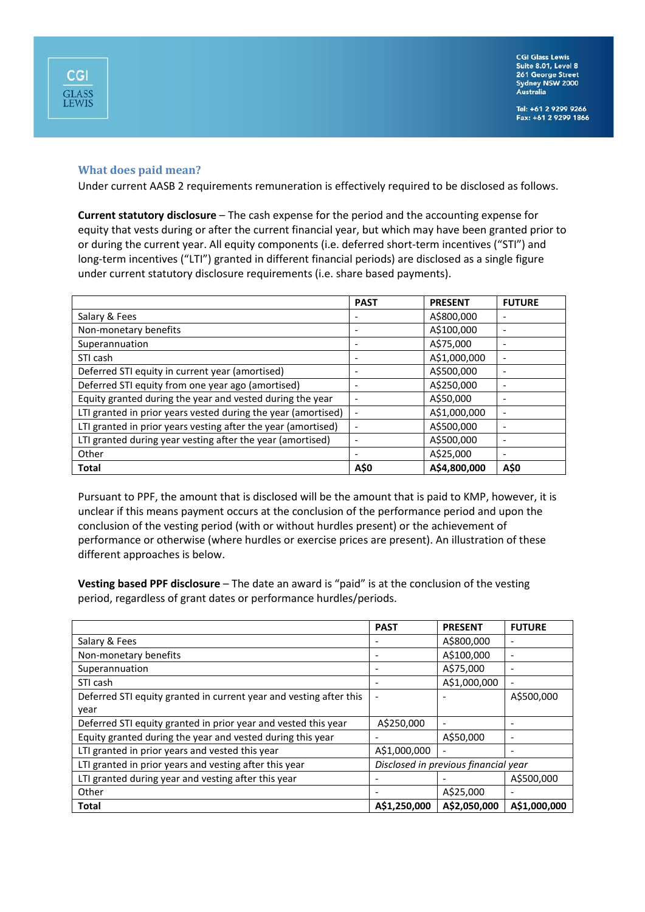

### **What does paid mean?**

**CGI** 

**GLASS**<br>LEWIS

Under current AASB 2 requirements remuneration is effectively required to be disclosed as follows.

**Current statutory disclosure** – The cash expense for the period and the accounting expense for equity that vests during or after the current financial year, but which may have been granted prior to or during the current year. All equity components (i.e. deferred short-term incentives ("STI") and long-term incentives ("LTI") granted in different financial periods) are disclosed as a single figure under current statutory disclosure requirements (i.e. share based payments).

|                                                               | <b>PAST</b> | <b>PRESENT</b> | <b>FUTURE</b>            |
|---------------------------------------------------------------|-------------|----------------|--------------------------|
| Salary & Fees                                                 |             | A\$800,000     | ٠                        |
| Non-monetary benefits                                         |             | A\$100,000     | $\overline{\phantom{a}}$ |
| Superannuation                                                |             | A\$75,000      |                          |
| STI cash                                                      |             | A\$1,000,000   | $\overline{\phantom{a}}$ |
| Deferred STI equity in current year (amortised)               |             | A\$500,000     | $\overline{\phantom{a}}$ |
| Deferred STI equity from one year ago (amortised)             |             | A\$250,000     |                          |
| Equity granted during the year and vested during the year     |             | A\$50,000      |                          |
| LTI granted in prior years vested during the year (amortised) |             | A\$1,000,000   | $\overline{\phantom{a}}$ |
| LTI granted in prior years vesting after the year (amortised) |             | A\$500,000     |                          |
| LTI granted during year vesting after the year (amortised)    |             | A\$500,000     |                          |
| Other                                                         |             | A\$25,000      | $\overline{\phantom{a}}$ |
| <b>Total</b>                                                  | A\$0        | A\$4.800,000   | A\$0                     |

Pursuant to PPF, the amount that is disclosed will be the amount that is paid to KMP, however, it is unclear if this means payment occurs at the conclusion of the performance period and upon the conclusion of the vesting period (with or without hurdles present) or the achievement of performance or otherwise (where hurdles or exercise prices are present). An illustration of these different approaches is below.

**Vesting based PPF disclosure** – The date an award is "paid" is at the conclusion of the vesting period, regardless of grant dates or performance hurdles/periods.

|                                                                    | <b>PAST</b>                          | <b>PRESENT</b>           | <b>FUTURE</b> |
|--------------------------------------------------------------------|--------------------------------------|--------------------------|---------------|
| Salary & Fees                                                      |                                      | A\$800,000               |               |
| Non-monetary benefits                                              |                                      | A\$100,000               |               |
| Superannuation                                                     |                                      | A\$75,000                | ۰             |
| STI cash                                                           |                                      | A\$1,000,000             |               |
| Deferred STI equity granted in current year and vesting after this | $\overline{\phantom{a}}$             |                          | A\$500,000    |
| year                                                               |                                      |                          |               |
| Deferred STI equity granted in prior year and vested this year     | A\$250,000                           |                          |               |
| Equity granted during the year and vested during this year         |                                      | A\$50,000                |               |
| LTI granted in prior years and vested this year                    | A\$1,000,000                         | $\overline{\phantom{a}}$ |               |
| LTI granted in prior years and vesting after this year             | Disclosed in previous financial year |                          |               |
| LTI granted during year and vesting after this year                |                                      |                          | A\$500,000    |
| Other                                                              |                                      | A\$25,000                | ٠             |
| <b>Total</b>                                                       | A\$1,250,000                         | A\$2,050,000             | A\$1,000,000  |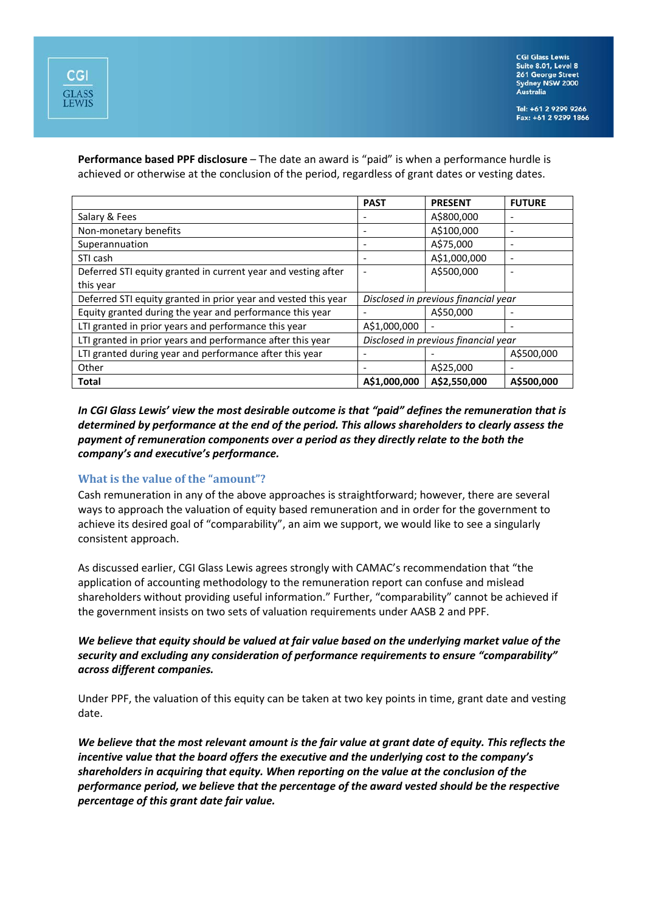**Performance based PPF disclosure** – The date an award is "paid" is when a performance hurdle is achieved or otherwise at the conclusion of the period, regardless of grant dates or vesting dates.

|                                                                | <b>PAST</b>                          | <b>PRESENT</b> | <b>FUTURE</b> |
|----------------------------------------------------------------|--------------------------------------|----------------|---------------|
| Salary & Fees                                                  |                                      | A\$800,000     |               |
| Non-monetary benefits                                          |                                      | A\$100,000     |               |
| Superannuation                                                 |                                      | A\$75,000      |               |
| STI cash                                                       |                                      | A\$1,000,000   | ٠             |
| Deferred STI equity granted in current year and vesting after  |                                      | A\$500,000     |               |
| this year                                                      |                                      |                |               |
| Deferred STI equity granted in prior year and vested this year | Disclosed in previous financial year |                |               |
| Equity granted during the year and performance this year       |                                      | A\$50,000      |               |
| LTI granted in prior years and performance this year           | A\$1,000,000                         |                |               |
| LTI granted in prior years and performance after this year     | Disclosed in previous financial year |                |               |
| LTI granted during year and performance after this year        |                                      |                | A\$500,000    |
| Other                                                          |                                      | A\$25,000      |               |
| <b>Total</b>                                                   | A\$1,000,000                         | A\$2,550,000   | A\$500.000    |

*In CGI Glass Lewis' view the most desirable outcome is that "paid" defines the remuneration that is determined by performance at the end of the period. This allows shareholders to clearly assess the payment of remuneration components over a period as they directly relate to the both the company's and executive's performance.*

#### **What is the value of the "amount"?**

Cash remuneration in any of the above approaches is straightforward; however, there are several ways to approach the valuation of equity based remuneration and in order for the government to achieve its desired goal of "comparability", an aim we support, we would like to see a singularly consistent approach.

As discussed earlier, CGI Glass Lewis agrees strongly with CAMAC's recommendation that "the application of accounting methodology to the remuneration report can confuse and mislead shareholders without providing useful information." Further, "comparability" cannot be achieved if the government insists on two sets of valuation requirements under AASB 2 and PPF.

# *We believe that equity should be valued at fair value based on the underlying market value of the security and excluding any consideration of performance requirements to ensure "comparability" across different companies.*

Under PPF, the valuation of this equity can be taken at two key points in time, grant date and vesting date.

*We believe that the most relevant amount is the fair value at grant date of equity. This reflects the incentive value that the board offers the executive and the underlying cost to the company's shareholders in acquiring that equity. When reporting on the value at the conclusion of the performance period, we believe that the percentage of the award vested should be the respective percentage of this grant date fair value.*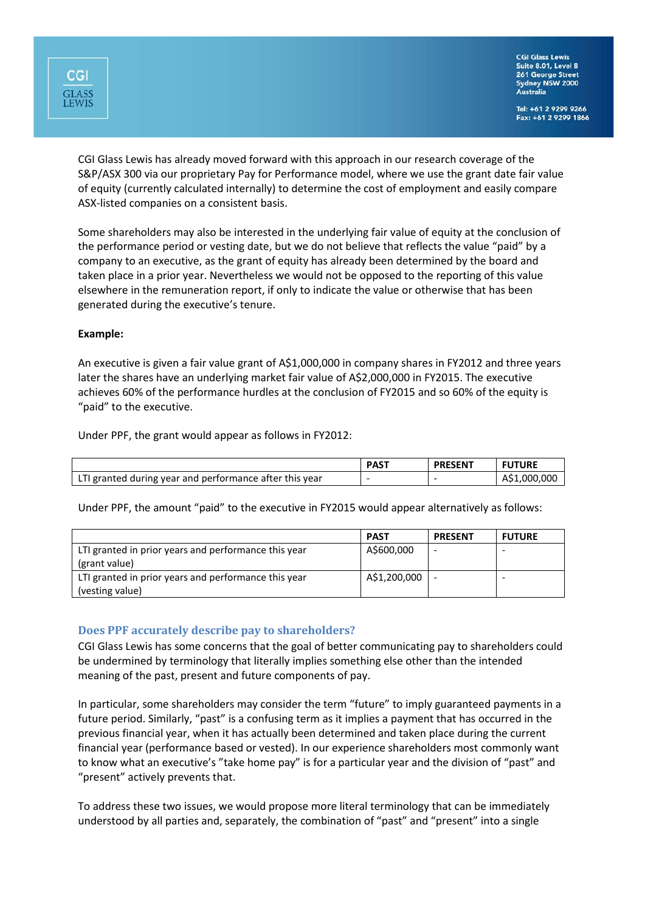

Tel: +61 2 9299 9266 Fax: +61 2 9299 1866

CGI Glass Lewis has already moved forward with this approach in our research coverage of the S&P/ASX 300 via our proprietary Pay for Performance model, where we use the grant date fair value of equity (currently calculated internally) to determine the cost of employment and easily compare ASX-listed companies on a consistent basis.

Some shareholders may also be interested in the underlying fair value of equity at the conclusion of the performance period or vesting date, but we do not believe that reflects the value "paid" by a company to an executive, as the grant of equity has already been determined by the board and taken place in a prior year. Nevertheless we would not be opposed to the reporting of this value elsewhere in the remuneration report, if only to indicate the value or otherwise that has been generated during the executive's tenure.

# **Example:**

An executive is given a fair value grant of A\$1,000,000 in company shares in FY2012 and three years later the shares have an underlying market fair value of A\$2,000,000 in FY2015. The executive achieves 60% of the performance hurdles at the conclusion of FY2015 and so 60% of the equity is "paid" to the executive.

Under PPF, the grant would appear as follows in FY2012:

|                                                         | <b>PAST</b> | <b>PRESENT</b> | TURE              |
|---------------------------------------------------------|-------------|----------------|-------------------|
| LTI granted during year and performance after this year |             |                | .1.000.000<br>¬→. |

Under PPF, the amount "paid" to the executive in FY2015 would appear alternatively as follows:

|                                                                         | <b>PAST</b>  | <b>PRESENT</b> | <b>FUTURE</b> |
|-------------------------------------------------------------------------|--------------|----------------|---------------|
| LTI granted in prior years and performance this year<br>(grant value)   | A\$600,000   |                |               |
| LTI granted in prior years and performance this year<br>(vesting value) | A\$1,200,000 |                |               |

# **Does PPF accurately describe pay to shareholders?**

CGI Glass Lewis has some concerns that the goal of better communicating pay to shareholders could be undermined by terminology that literally implies something else other than the intended meaning of the past, present and future components of pay.

In particular, some shareholders may consider the term "future" to imply guaranteed payments in a future period. Similarly, "past" is a confusing term as it implies a payment that has occurred in the previous financial year, when it has actually been determined and taken place during the current financial year (performance based or vested). In our experience shareholders most commonly want to know what an executive's "take home pay" is for a particular year and the division of "past" and "present" actively prevents that.

To address these two issues, we would propose more literal terminology that can be immediately understood by all parties and, separately, the combination of "past" and "present" into a single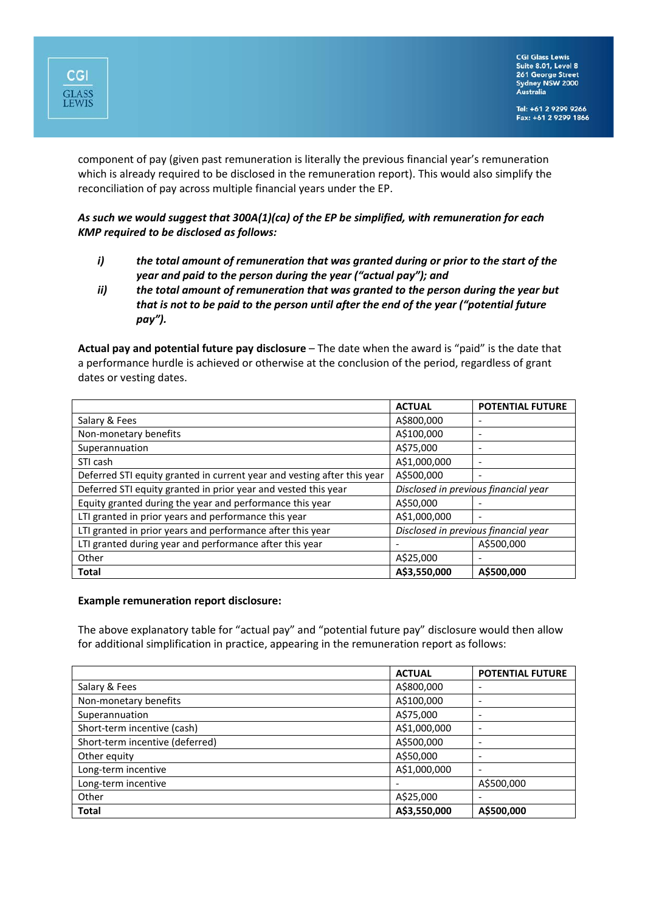component of pay (given past remuneration is literally the previous financial year's remuneration which is already required to be disclosed in the remuneration report). This would also simplify the reconciliation of pay across multiple financial years under the EP.

# *As such we would suggest that 300A(1)(ca) of the EP be simplified, with remuneration for each KMP required to be disclosed as follows:*

- *i) the total amount of remuneration that was granted during or prior to the start of the year and paid to the person during the year ("actual pay"); and*
- *ii) the total amount of remuneration that was granted to the person during the year but that is not to be paid to the person until after the end of the year ("potential future pay").*

**Actual pay and potential future pay disclosure** – The date when the award is "paid" is the date that a performance hurdle is achieved or otherwise at the conclusion of the period, regardless of grant dates or vesting dates.

|                                                                         | <b>ACTUAL</b>                        | <b>POTENTIAL FUTURE</b>  |
|-------------------------------------------------------------------------|--------------------------------------|--------------------------|
| Salary & Fees                                                           | A\$800,000                           | $\overline{\phantom{0}}$ |
| Non-monetary benefits                                                   | A\$100,000                           | $\overline{\phantom{0}}$ |
| Superannuation                                                          | A\$75,000                            | $\overline{\phantom{0}}$ |
| STI cash                                                                | A\$1,000,000                         | $\overline{\phantom{0}}$ |
| Deferred STI equity granted in current year and vesting after this year | A\$500,000                           | $\overline{\phantom{0}}$ |
| Deferred STI equity granted in prior year and vested this year          | Disclosed in previous financial year |                          |
| Equity granted during the year and performance this year                | A\$50,000                            |                          |
| LTI granted in prior years and performance this year                    | A\$1,000,000                         | $\overline{\phantom{0}}$ |
| LTI granted in prior years and performance after this year              | Disclosed in previous financial year |                          |
| LTI granted during year and performance after this year                 |                                      | A\$500,000               |
| Other                                                                   | A\$25,000                            | $\overline{\phantom{0}}$ |
| <b>Total</b>                                                            | A\$3,550,000                         | A\$500,000               |

#### **Example remuneration report disclosure:**

**CGI** 

**GLASS**<br>LEWIS

The above explanatory table for "actual pay" and "potential future pay" disclosure would then allow for additional simplification in practice, appearing in the remuneration report as follows:

|                                 | <b>ACTUAL</b> | <b>POTENTIAL FUTURE</b>  |
|---------------------------------|---------------|--------------------------|
| Salary & Fees                   | A\$800,000    |                          |
| Non-monetary benefits           | A\$100,000    |                          |
| Superannuation                  | A\$75,000     |                          |
| Short-term incentive (cash)     | A\$1,000,000  | $\overline{\phantom{0}}$ |
| Short-term incentive (deferred) | A\$500,000    |                          |
| Other equity                    | A\$50,000     |                          |
| Long-term incentive             | A\$1,000,000  |                          |
| Long-term incentive             |               | A\$500,000               |
| Other                           | A\$25,000     |                          |
| <b>Total</b>                    | A\$3,550,000  | A\$500,000               |